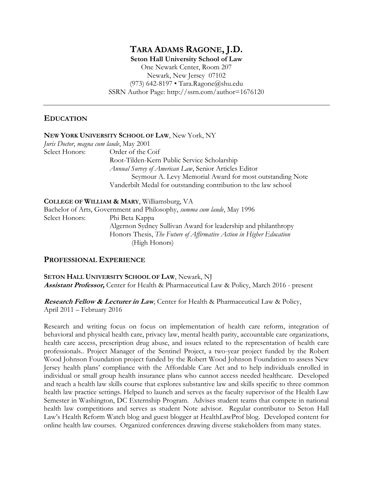# **TARA ADAMS RAGONE, J.D.**

**Seton Hall University School of Law** One Newark Center, Room 207 Newark, New Jersey 07102 (973) 642-8197 • Tara.Ragone@shu.edu SSRN Author Page: http://ssrn.com/author=1676120

### **EDUCATION**

|                | NEW YORK UNIVERSITY SCHOOL OF LAW, New York, NY                 |
|----------------|-----------------------------------------------------------------|
|                | Juris Doctor, magna cum laude, May 2001                         |
| Select Honors: | Order of the Coif                                               |
|                | Root-Tilden-Kern Public Service Scholarship                     |
|                | Annual Survey of American Law, Senior Articles Editor           |
|                | Seymour A. Levy Memorial Award for most outstanding Note        |
|                | Vanderbilt Medal for outstanding contribution to the law school |
|                |                                                                 |

**COLLEGE OF WILLIAM & MARY**, Williamsburg, VA Bachelor of Arts, Government and Philosophy, *summa cum laude*, May 1996 Select Honors: Phi Beta Kappa Algernon Sydney Sullivan Award for leadership and philanthropy Honors Thesis, *The Future of Affirmative Action in Higher Education* (High Honors)

### **PROFESSIONAL EXPERIENCE**

**SETON HALL UNIVERSITY SCHOOL OF LAW**, Newark, NJ **Assistant Professor,** Center for Health & Pharmaceutical Law & Policy, March 2016 - present

**Research Fellow & Lecturer in Law**, Center for Health & Pharmaceutical Law & Policy, April 2011 – February 2016

Research and writing focus on focus on implementation of health care reform, integration of behavioral and physical health care, privacy law, mental health parity, accountable care organizations, health care access, prescription drug abuse, and issues related to the representation of health care professionals.. Project Manager of the Sentinel Project, a two-year project funded by the Robert Wood Johnson Foundation project funded by the Robert Wood Johnson Foundation to assess New Jersey health plans' compliance with the Affordable Care Act and to help individuals enrolled in individual or small group health insurance plans who cannot access needed healthcare. Developed and teach a health law skills course that explores substantive law and skills specific to three common health law practice settings. Helped to launch and serves as the faculty supervisor of the Health Law Semester in Washington, DC Externship Program. Advises student teams that compete in national health law competitions and serves as student Note advisor. Regular contributor to Seton Hall Law's Health Reform Watch blog and guest blogger at HealthLawProf blog. Developed content for online health law courses. Organized conferences drawing diverse stakeholders from many states.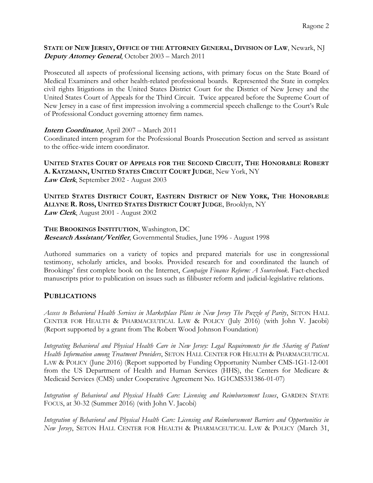#### **STATE OF NEW JERSEY, OFFICE OF THE ATTORNEY GENERAL, DIVISION OF LAW**, Newark, NJ **Deputy Attorney General**, October 2003 – March 2011

Prosecuted all aspects of professional licensing actions, with primary focus on the State Board of Medical Examiners and other health-related professional boards. Represented the State in complex civil rights litigations in the United States District Court for the District of New Jersey and the United States Court of Appeals for the Third Circuit. Twice appeared before the Supreme Court of New Jersey in a case of first impression involving a commercial speech challenge to the Court's Rule of Professional Conduct governing attorney firm names.

#### **Intern Coordinator**, April 2007 – March 2011

Coordinated intern program for the Professional Boards Prosecution Section and served as assistant to the office-wide intern coordinator.

**UNITED STATES COURT OF APPEALS FOR THE SECOND CIRCUIT, THE HONORABLE ROBERT A. KATZMANN, UNITED STATES CIRCUIT COURT JUDGE**, New York, NY **Law Clerk**, September 2002 - August 2003

UNITED STATES DISTRICT COURT, EASTERN DISTRICT OF NEW YORK, THE HONORABLE **ALLYNE R. ROSS, UNITED STATES DISTRICT COURT JUDGE**, Brooklyn, NY **Law Clerk**, August 2001 - August 2002

#### **THE BROOKINGS INSTITUTION**, Washington, DC

**Research Assistant/Verifier**, Governmental Studies, June 1996 - August 1998

Authored summaries on a variety of topics and prepared materials for use in congressional testimony, scholarly articles, and books. Provided research for and coordinated the launch of Brookings' first complete book on the Internet, *Campaign Finance Reform: A Sourcebook*. Fact-checked manuscripts prior to publication on issues such as filibuster reform and judicial-legislative relations.

#### **PUBLICATIONS**

*Access to Behavioral Health Services in Marketplace Plans in New Jersey The Puzzle of Parity*, SETON HALL CENTER FOR HEALTH & PHARMACEUTICAL LAW & POLICY (July 2016) (with John V. Jacobi) (Report supported by a grant from The Robert Wood Johnson Foundation)

*Integrating Behavioral and Physical Health Care in New Jersey: Legal Requirements for the Sharing of Patient Health Information among Treatment Providers*, SETON HALL CENTER FOR HEALTH & PHARMACEUTICAL LAW & POLICY (June 2016) (Report supported by Funding Opportunity Number CMS-1G1-12-001 from the US Department of Health and Human Services (HHS), the Centers for Medicare & Medicaid Services (CMS) under Cooperative Agreement No. 1G1CMS331386-01-07)

*Integration of Behavioral and Physical Health Care: Licensing and Reimbursement Issues*, GARDEN STATE FOCUS, at 30-32 (Summer 2016) (with John V. Jacobi)

*Integration of Behavioral and Physical Health Care: Licensing and Reimbursement Barriers and Opportunities in New Jersey*, SETON HALL CENTER FOR HEALTH & PHARMACEUTICAL LAW & POLICY (March 31,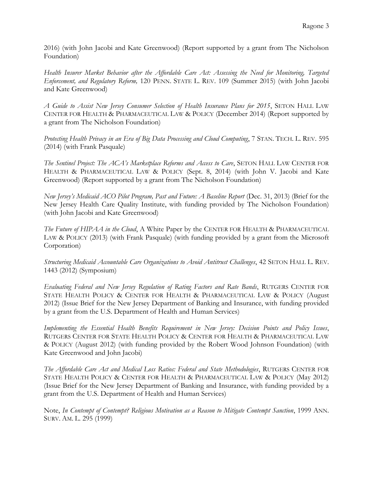2016) (with John Jacobi and Kate Greenwood) (Report supported by a grant from The Nicholson Foundation)

*Health Insurer Market Behavior after the Affordable Care Act: Assessing the Need for Monitoring, Targeted Enforcement, and Regulatory Reform,* 120 PENN. STATE L. REV. 109 (Summer 2015) (with John Jacobi and Kate Greenwood)

*A Guide to Assist New Jersey Consumer Selection of Health Insurance Plans for 2015*, SETON HALL LAW CENTER FOR HEALTH & PHARMACEUTICAL LAW & POLICY (December 2014) (Report supported by a grant from The Nicholson Foundation)

*Protecting Health Privacy in an Era of Big Data Processing and Cloud Computing*, 7 STAN. TECH. L. REV. 595 (2014) (with Frank Pasquale)

*The Sentinel Project: The ACA's Marketplace Reforms and Access to Care*, SETON HALL LAW CENTER FOR HEALTH & PHARMACEUTICAL LAW & POLICY (Sept. 8, 2014) (with John V. Jacobi and Kate Greenwood) (Report supported by a grant from The Nicholson Foundation)

*New Jersey's Medicaid ACO Pilot Program, Past and Future: A Baseline Report* (Dec. 31, 2013) (Brief for the New Jersey Health Care Quality Institute, with funding provided by The Nicholson Foundation) (with John Jacobi and Kate Greenwood)

*The Future of HIPAA in the Cloud*, A White Paper by the CENTER FOR HEALTH & PHARMACEUTICAL LAW & POLICY (2013) (with Frank Pasquale) (with funding provided by a grant from the Microsoft Corporation)

*Structuring Medicaid Accountable Care Organizations to Avoid Antitrust Challenges*, 42 SETON HALL L. REV. 1443 (2012) (Symposium)

*Evaluating Federal and New Jersey Regulation of Rating Factors and Rate Bands*, RUTGERS CENTER FOR STATE HEALTH POLICY & CENTER FOR HEALTH & PHARMACEUTICAL LAW & POLICY (August 2012) (Issue Brief for the New Jersey Department of Banking and Insurance, with funding provided by a grant from the U.S. Department of Health and Human Services)

*Implementing the Essential Health Benefits Requirement in New Jersey: Decision Points and Policy Issues*, RUTGERS CENTER FOR STATE HEALTH POLICY & CENTER FOR HEALTH & PHARMACEUTICAL LAW & POLICY (August 2012) (with funding provided by the Robert Wood Johnson Foundation) (with Kate Greenwood and John Jacobi)

*The Affordable Care Act and Medical Loss Ratios: Federal and State Methodologies*, RUTGERS CENTER FOR STATE HEALTH POLICY & CENTER FOR HEALTH & PHARMACEUTICAL LAW & POLICY (May 2012) (Issue Brief for the New Jersey Department of Banking and Insurance, with funding provided by a grant from the U.S. Department of Health and Human Services)

Note, *In Contempt of Contempt? Religious Motivation as a Reason to Mitigate Contempt Sanction*, 1999 ANN. SURV. AM. L. 295 (1999)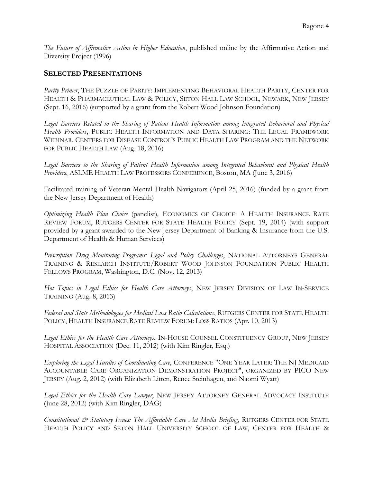*The Future of Affirmative Action in Higher Education*, published online by the Affirmative Action and Diversity Project (1996)

### **SELECTED PRESENTATIONS**

*Parity Primer*, THE PUZZLE OF PARITY: IMPLEMENTING BEHAVIORAL HEALTH PARITY, CENTER FOR HEALTH & PHARMACEUTICAL LAW & POLICY, SETON HALL LAW SCHOOL, NEWARK, NEW JERSEY (Sept. 16, 2016) (supported by a grant from the Robert Wood Johnson Foundation)

*Legal Barriers Related to the Sharing of Patient Health Information among Integrated Behavioral and Physical Health Providers*, PUBLIC HEALTH INFORMATION AND DATA SHARING: THE LEGAL FRAMEWORK WEBINAR, CENTERS FOR DISEASE CONTROL'S PUBLIC HEALTH LAW PROGRAM AND THE NETWORK FOR PUBLIC HEALTH LAW (Aug. 18, 2016)

*Legal Barriers to the Sharing of Patient Health Information among Integrated Behavioral and Physical Health Providers*, ASLME HEALTH LAW PROFESSORS CONFERENCE, Boston, MA (June 3, 2016)

Facilitated training of Veteran Mental Health Navigators (April 25, 2016) (funded by a grant from the New Jersey Department of Health)

*Optimizing Health Plan Choice* (panelist)*,* ECONOMICS OF CHOICE: A HEALTH INSURANCE RATE REVIEW FORUM, RUTGERS CENTER FOR STATE HEALTH POLICY (Sept. 19, 2014) (with support provided by a grant awarded to the New Jersey Department of Banking & Insurance from the U.S. Department of Health & Human Services)

*Prescription Drug Monitoring Programs: Legal and Policy Challenges*, NATIONAL ATTORNEYS GENERAL TRAINING & RESEARCH INSTITUTE/ROBERT WOOD JOHNSON FOUNDATION PUBLIC HEALTH FELLOWS PROGRAM, Washington, D.C. (Nov. 12, 2013)

*Hot Topics in Legal Ethics for Health Care Attorneys*, NEW JERSEY DIVISION OF LAW IN-SERVICE TRAINING (Aug. 8, 2013)

*Federal and State Methodologies for Medical Loss Ratio Calculations*, RUTGERS CENTER FOR STATE HEALTH POLICY, HEALTH INSURANCE RATE REVIEW FORUM: LOSS RATIOS (Apr. 10, 2013)

*Legal Ethics for the Health Care Attorneys*, IN-HOUSE COUNSEL CONSTITUENCY GROUP, NEW JERSEY HOSPITAL ASSOCIATION (Dec. 11, 2012) (with Kim Ringler, Esq.)

*Exploring the Legal Hurdles of Coordinating Care*, CONFERENCE "ONE YEAR LATER: THE NJ MEDICAID ACCOUNTABLE CARE ORGANIZATION DEMONSTRATION PROJECT", ORGANIZED BY PICO NEW JERSEY (Aug. 2, 2012) (with Elizabeth Litten, Renee Steinhagen, and Naomi Wyatt)

*Legal Ethics for the Health Care Lawyer*, NEW JERSEY ATTORNEY GENERAL ADVOCACY INSTITUTE (June 28, 2012) (with Kim Ringler, DAG)

*Constitutional & Statutory Issues: The Affordable Care Act Media Briefing*, RUTGERS CENTER FOR STATE HEALTH POLICY AND SETON HALL UNIVERSITY SCHOOL OF LAW, CENTER FOR HEALTH &